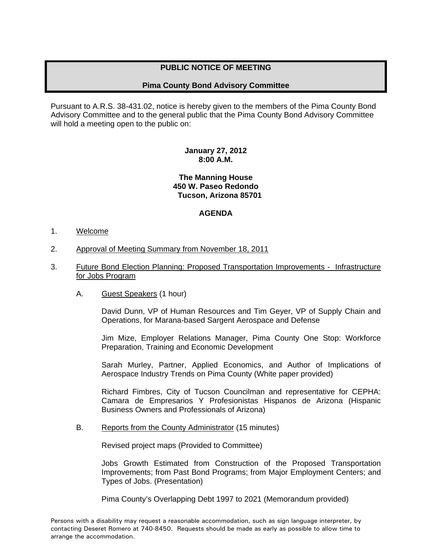# **PUBLIC NOTICE OF MEETING**

## **Pima County Bond Advisory Committee**

Pursuant to A.R.S. 38-431.02, notice is hereby given to the members of the Pima County Bond Advisory Committee and to the general public that the Pima County Bond Advisory Committee will hold a meeting open to the public on:

### **January 27, 2012 8:00 A.M.**

#### **The Manning House 450 W. Paseo Redondo Tucson, Arizona 85701**

## **AGENDA**

#### 1. Welcome

- 2. Approval of Meeting Summary from November 18, 2011
- 3. Future Bond Election Planning: Proposed Transportation Improvements Infrastructure for Jobs Program
	- A. Guest Speakers (1 hour)

David Dunn, VP of Human Resources and Tim Geyer, VP of Supply Chain and Operations, for Marana-based Sargent Aerospace and Defense

Jim Mize, Employer Relations Manager, Pima County One Stop: Workforce Preparation, Training and Economic Development

Sarah Murley, Partner, Applied Economics, and Author of Implications of Aerospace Industry Trends on Pima County (White paper provided)

Richard Fimbres, City of Tucson Councilman and representative for CEPHA: Camara de Empresarios Y Profesionistas Hispanos de Arizona (Hispanic Business Owners and Professionals of Arizona)

B. Reports from the County Administrator (15 minutes)

Revised project maps (Provided to Committee)

 Jobs Growth Estimated from Construction of the Proposed Transportation Improvements; from Past Bond Programs; from Major Employment Centers; and Types of Jobs. (Presentation)

Pima County's Overlapping Debt 1997 to 2021 (Memorandum provided)

Persons with a disability may request a reasonable accommodation, such as sign language interpreter, by contacting Deseret Romero at 740-8450. Requests should be made as early as possible to allow time to arrange the accommodation.